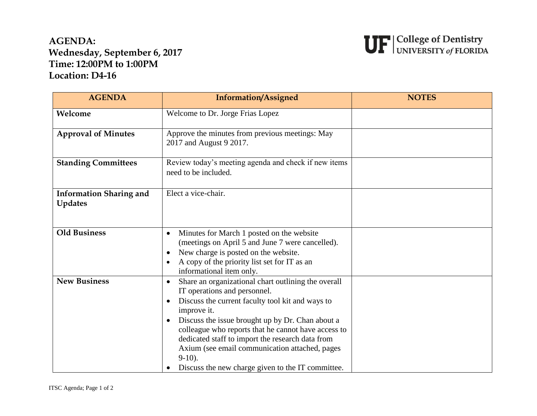## **AGENDA: Wednesday, September 6, 2017 Time: 12:00PM to 1:00PM Location: D4-16**



| <b>AGENDA</b>                                    | <b>Information/Assigned</b>                                                                                                                                                                                                                                                                                                                                                                                                                                         | <b>NOTES</b> |
|--------------------------------------------------|---------------------------------------------------------------------------------------------------------------------------------------------------------------------------------------------------------------------------------------------------------------------------------------------------------------------------------------------------------------------------------------------------------------------------------------------------------------------|--------------|
| Welcome                                          | Welcome to Dr. Jorge Frias Lopez                                                                                                                                                                                                                                                                                                                                                                                                                                    |              |
| <b>Approval of Minutes</b>                       | Approve the minutes from previous meetings: May<br>2017 and August 9 2017.                                                                                                                                                                                                                                                                                                                                                                                          |              |
| <b>Standing Committees</b>                       | Review today's meeting agenda and check if new items<br>need to be included.                                                                                                                                                                                                                                                                                                                                                                                        |              |
| <b>Information Sharing and</b><br><b>Updates</b> | Elect a vice-chair.                                                                                                                                                                                                                                                                                                                                                                                                                                                 |              |
| <b>Old Business</b>                              | Minutes for March 1 posted on the website<br>$\bullet$<br>(meetings on April 5 and June 7 were cancelled).<br>New charge is posted on the website.<br>A copy of the priority list set for IT as an<br>informational item only.                                                                                                                                                                                                                                      |              |
| <b>New Business</b>                              | Share an organizational chart outlining the overall<br>$\bullet$<br>IT operations and personnel.<br>Discuss the current faculty tool kit and ways to<br>$\bullet$<br>improve it.<br>Discuss the issue brought up by Dr. Chan about a<br>colleague who reports that he cannot have access to<br>dedicated staff to import the research data from<br>Axium (see email communication attached, pages<br>$9-10$ ).<br>Discuss the new charge given to the IT committee. |              |